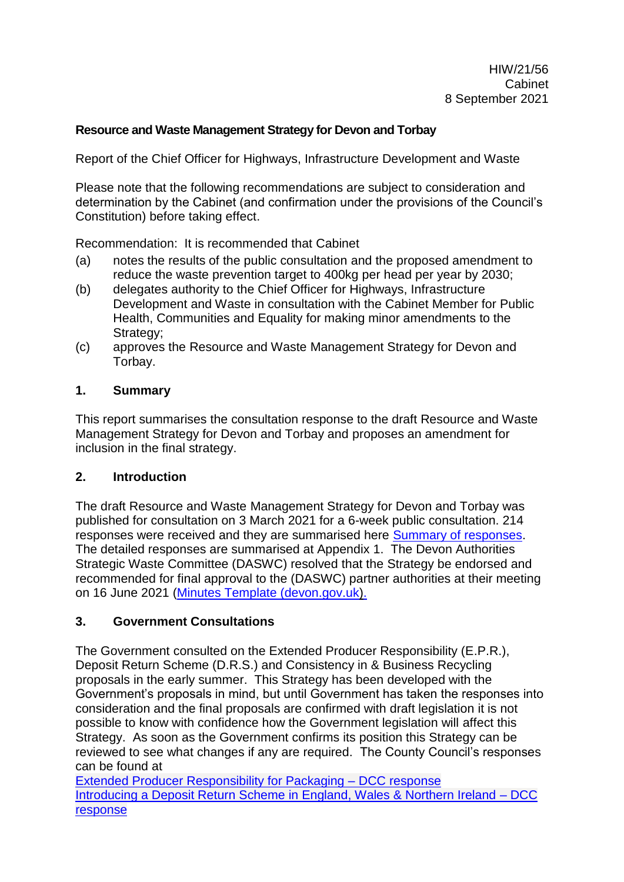### **Resource and Waste Management Strategy for Devon and Torbay**

Report of the Chief Officer for Highways, Infrastructure Development and Waste

Please note that the following recommendations are subject to consideration and determination by the Cabinet (and confirmation under the provisions of the Council's Constitution) before taking effect.

Recommendation: It is recommended that Cabinet

- (a) notes the results of the public consultation and the proposed amendment to reduce the waste prevention target to 400kg per head per year by 2030;
- (b) delegates authority to the Chief Officer for Highways, Infrastructure Development and Waste in consultation with the Cabinet Member for Public Health, Communities and Equality for making minor amendments to the Strategy;
- (c) approves the Resource and Waste Management Strategy for Devon and Torbay.

### **1. Summary**

This report summarises the consultation response to the draft Resource and Waste Management Strategy for Devon and Torbay and proposes an amendment for inclusion in the final strategy.

### **2. Introduction**

The draft Resource and Waste Management Strategy for Devon and Torbay was published for consultation on 3 March 2021 for a 6-week public consultation. 214 responses were received and they are summarised here [Summary of responses.](https://eur02.safelinks.protection.outlook.com/?url=https%3A%2F%2Fforms.office.com%2FPages%2FAnalysisPage.aspx%3Fid%3DgzehjWjLP0S7S5l_d_1b-zUkf9CFTtNPqENTWc2GualUQVoyWEdDTVFUWE1BOThOWkRCTjlUWVNFWC4u%26AnalyzerToken%3DgmIfpQuoqpblYBPjnSwgxDv5EpbLkTPR&data=04%7C01%7Cannette.dentith%40devon.gov.uk%7Cbf70c54262e14cd17d4208d91458ce66%7C8da13783cb68443fbb4b997f77fd5bfb%7C0%7C0%7C637563193916967162%7CUnknown%7CTWFpbGZsb3d8eyJWIjoiMC4wLjAwMDAiLCJQIjoiV2luMzIiLCJBTiI6Ik1haWwiLCJXVCI6Mn0%3D%7C1000&sdata=JsprWQuR%2BcbSiKENXnBIY1Coe9FtkEX%2FmP8mpbLOBW4%3D&reserved=0) The detailed responses are summarised at Appendix 1. The Devon Authorities Strategic Waste Committee (DASWC) resolved that the Strategy be endorsed and recommended for final approval to the (DASWC) partner authorities at their meeting on 16 June 2021 (Minutes [Template \(devon.gov.uk\).](https://democracy.devon.gov.uk/documents/g4218/Printed%20minutes%2016th-Jun-2021%2014.15%20Devon%20Authorities%20Strategic%20Waste%20Committee.pdf?T=1)

### **3. Government Consultations**

The Government consulted on the Extended Producer Responsibility (E.P.R.), Deposit Return Scheme (D.R.S.) and Consistency in & Business Recycling proposals in the early summer. This Strategy has been developed with the Government's proposals in mind, but until Government has taken the responses into consideration and the final proposals are confirmed with draft legislation it is not possible to know with confidence how the Government legislation will affect this Strategy. As soon as the Government confirms its position this Strategy can be reviewed to see what changes if any are required. The County Council's responses can be found at

[Extended Producer Responsibility for Packaging –](https://eur02.safelinks.protection.outlook.com/ap/b-59584e83/?url=https%3A%2F%2Fdevoncc.sharepoint.com%2F%3Ab%3A%2Fs%2FPublicDocs%2FDemocracy%2FEaAoloZUI-NMrowpydSBDHwBx7qAorfyCHwH91QH9Y9K0w%3Fe%3DaKhvcS&data=04%7C01%7Cheather.kitt%40devon.gov.uk%7C6b7ab040966e43f2c66808d967c446c1%7C8da13783cb68443fbb4b997f77fd5bfb%7C0%7C0%7C637654914957723035%7CUnknown%7CTWFpbGZsb3d8eyJWIjoiMC4wLjAwMDAiLCJQIjoiV2luMzIiLCJBTiI6Ik1haWwiLCJXVCI6Mn0%3D%7C1000&sdata=0guIfJWat2Vig24c4zJ0HViJS%2B29dzpxqPm0681DMbA%3D&reserved=0) DCC response [Introducing a Deposit Return Scheme in England, Wales & Northern Ireland –](https://eur02.safelinks.protection.outlook.com/ap/b-59584e83/?url=https%3A%2F%2Fdevoncc.sharepoint.com%2F%3Ab%3A%2Fs%2FPublicDocs%2FDemocracy%2FESMSzXgxH6NOjtVEkaz0TD8BGvqBYb3aBBpCu520j-AM3g%3Fe%3DrbZeLi&data=04%7C01%7Cheather.kitt%40devon.gov.uk%7C6b7ab040966e43f2c66808d967c446c1%7C8da13783cb68443fbb4b997f77fd5bfb%7C0%7C0%7C637654914957723035%7CUnknown%7CTWFpbGZsb3d8eyJWIjoiMC4wLjAwMDAiLCJQIjoiV2luMzIiLCJBTiI6Ik1haWwiLCJXVCI6Mn0%3D%7C1000&sdata=EShUgo2duX%2BaCDQ7rx5htZbj6FM4RI4WS6XYZLEY5FU%3D&reserved=0) DCC [response](https://eur02.safelinks.protection.outlook.com/ap/b-59584e83/?url=https%3A%2F%2Fdevoncc.sharepoint.com%2F%3Ab%3A%2Fs%2FPublicDocs%2FDemocracy%2FESMSzXgxH6NOjtVEkaz0TD8BGvqBYb3aBBpCu520j-AM3g%3Fe%3DrbZeLi&data=04%7C01%7Cheather.kitt%40devon.gov.uk%7C6b7ab040966e43f2c66808d967c446c1%7C8da13783cb68443fbb4b997f77fd5bfb%7C0%7C0%7C637654914957723035%7CUnknown%7CTWFpbGZsb3d8eyJWIjoiMC4wLjAwMDAiLCJQIjoiV2luMzIiLCJBTiI6Ik1haWwiLCJXVCI6Mn0%3D%7C1000&sdata=EShUgo2duX%2BaCDQ7rx5htZbj6FM4RI4WS6XYZLEY5FU%3D&reserved=0)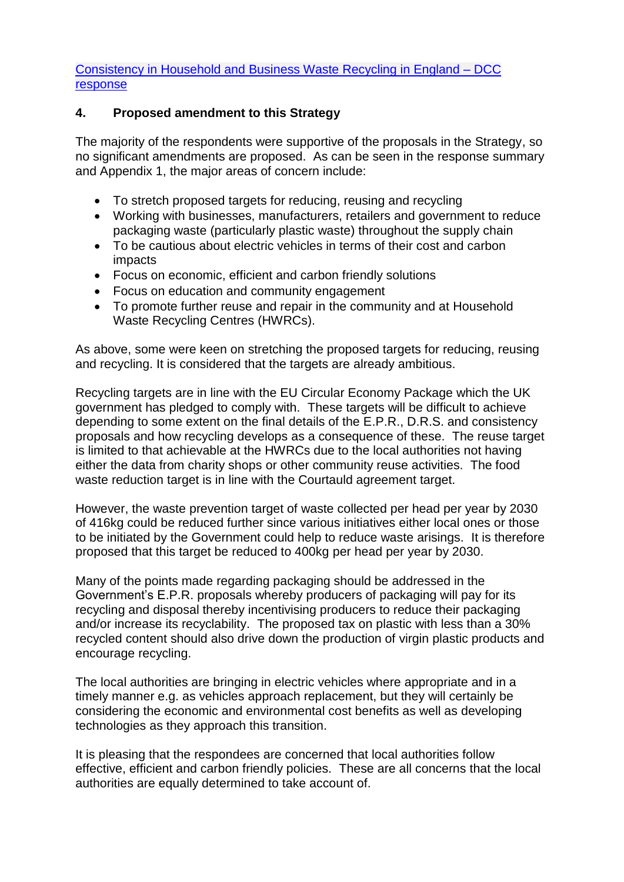[Consistency in Household and Business Waste Recycling in England –](https://eur02.safelinks.protection.outlook.com/ap/b-59584e83/?url=https%3A%2F%2Fdevoncc.sharepoint.com%2F%3Ab%3A%2Fs%2FPublicDocs%2FDemocracy%2FEakiEN_yijFOvLPAShr5GD4BCajj8IMyqBdE_j090V7GQg%3Fe%3DpBSLxM&data=04%7C01%7Cheather.kitt%40devon.gov.uk%7C6b7ab040966e43f2c66808d967c446c1%7C8da13783cb68443fbb4b997f77fd5bfb%7C0%7C0%7C637654914957733025%7CUnknown%7CTWFpbGZsb3d8eyJWIjoiMC4wLjAwMDAiLCJQIjoiV2luMzIiLCJBTiI6Ik1haWwiLCJXVCI6Mn0%3D%7C1000&sdata=D%2FPMUL6UNm58JlbFnVQ3fmHypBJnASRPkrNpR1Pd55c%3D&reserved=0) DCC [response](https://eur02.safelinks.protection.outlook.com/ap/b-59584e83/?url=https%3A%2F%2Fdevoncc.sharepoint.com%2F%3Ab%3A%2Fs%2FPublicDocs%2FDemocracy%2FEakiEN_yijFOvLPAShr5GD4BCajj8IMyqBdE_j090V7GQg%3Fe%3DpBSLxM&data=04%7C01%7Cheather.kitt%40devon.gov.uk%7C6b7ab040966e43f2c66808d967c446c1%7C8da13783cb68443fbb4b997f77fd5bfb%7C0%7C0%7C637654914957733025%7CUnknown%7CTWFpbGZsb3d8eyJWIjoiMC4wLjAwMDAiLCJQIjoiV2luMzIiLCJBTiI6Ik1haWwiLCJXVCI6Mn0%3D%7C1000&sdata=D%2FPMUL6UNm58JlbFnVQ3fmHypBJnASRPkrNpR1Pd55c%3D&reserved=0)

### **4. Proposed amendment to this Strategy**

The majority of the respondents were supportive of the proposals in the Strategy, so no significant amendments are proposed. As can be seen in the response summary and Appendix 1, the major areas of concern include:

- To stretch proposed targets for reducing, reusing and recycling
- Working with businesses, manufacturers, retailers and government to reduce packaging waste (particularly plastic waste) throughout the supply chain
- To be cautious about electric vehicles in terms of their cost and carbon impacts
- Focus on economic, efficient and carbon friendly solutions
- Focus on education and community engagement
- To promote further reuse and repair in the community and at Household Waste Recycling Centres (HWRCs).

As above, some were keen on stretching the proposed targets for reducing, reusing and recycling. It is considered that the targets are already ambitious.

Recycling targets are in line with the EU Circular Economy Package which the UK government has pledged to comply with. These targets will be difficult to achieve depending to some extent on the final details of the E.P.R., D.R.S. and consistency proposals and how recycling develops as a consequence of these. The reuse target is limited to that achievable at the HWRCs due to the local authorities not having either the data from charity shops or other community reuse activities. The food waste reduction target is in line with the Courtauld agreement target.

However, the waste prevention target of waste collected per head per year by 2030 of 416kg could be reduced further since various initiatives either local ones or those to be initiated by the Government could help to reduce waste arisings. It is therefore proposed that this target be reduced to 400kg per head per year by 2030.

Many of the points made regarding packaging should be addressed in the Government's E.P.R. proposals whereby producers of packaging will pay for its recycling and disposal thereby incentivising producers to reduce their packaging and/or increase its recyclability. The proposed tax on plastic with less than a 30% recycled content should also drive down the production of virgin plastic products and encourage recycling.

The local authorities are bringing in electric vehicles where appropriate and in a timely manner e.g. as vehicles approach replacement, but they will certainly be considering the economic and environmental cost benefits as well as developing technologies as they approach this transition.

It is pleasing that the respondees are concerned that local authorities follow effective, efficient and carbon friendly policies. These are all concerns that the local authorities are equally determined to take account of.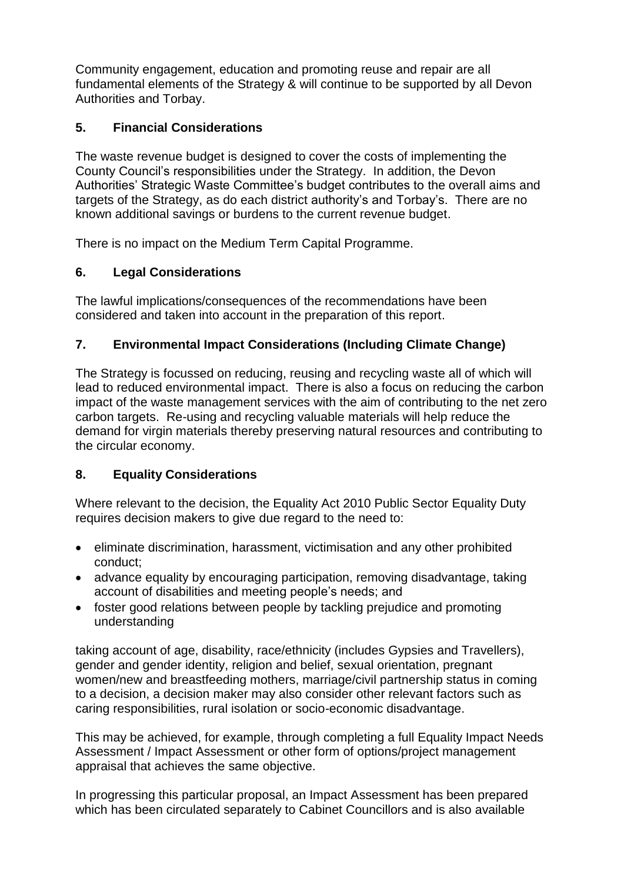Community engagement, education and promoting reuse and repair are all fundamental elements of the Strategy & will continue to be supported by all Devon Authorities and Torbay.

# **5. Financial Considerations**

The waste revenue budget is designed to cover the costs of implementing the County Council's responsibilities under the Strategy. In addition, the Devon Authorities' Strategic Waste Committee's budget contributes to the overall aims and targets of the Strategy, as do each district authority's and Torbay's. There are no known additional savings or burdens to the current revenue budget.

There is no impact on the Medium Term Capital Programme.

# **6. Legal Considerations**

The lawful implications/consequences of the recommendations have been considered and taken into account in the preparation of this report.

# **7. Environmental Impact Considerations (Including Climate Change)**

The Strategy is focussed on reducing, reusing and recycling waste all of which will lead to reduced environmental impact. There is also a focus on reducing the carbon impact of the waste management services with the aim of contributing to the net zero carbon targets. Re-using and recycling valuable materials will help reduce the demand for virgin materials thereby preserving natural resources and contributing to the circular economy.

# **8. Equality Considerations**

Where relevant to the decision, the Equality Act 2010 Public Sector Equality Duty requires decision makers to give due regard to the need to:

- eliminate discrimination, harassment, victimisation and any other prohibited conduct;
- advance equality by encouraging participation, removing disadvantage, taking account of disabilities and meeting people's needs; and
- foster good relations between people by tackling prejudice and promoting understanding

taking account of age, disability, race/ethnicity (includes Gypsies and Travellers), gender and gender identity, religion and belief, sexual orientation, pregnant women/new and breastfeeding mothers, marriage/civil partnership status in coming to a decision, a decision maker may also consider other relevant factors such as caring responsibilities, rural isolation or socio-economic disadvantage.

This may be achieved, for example, through completing a full Equality Impact Needs Assessment / Impact Assessment or other form of options/project management appraisal that achieves the same objective.

In progressing this particular proposal, an Impact Assessment has been prepared which has been circulated separately to Cabinet Councillors and is also available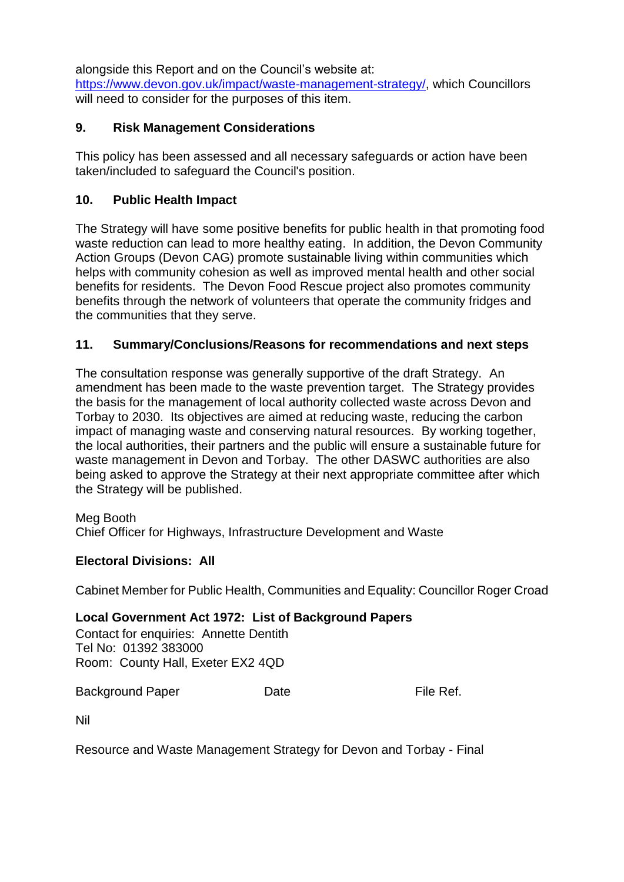alongside this Report and on the Council's website at:

[https://www.devon.gov.uk/impact/waste-management-strategy/,](https://www.devon.gov.uk/impact/waste-management-strategy/) which Councillors will need to consider for the purposes of this item.

### **9. Risk Management Considerations**

This policy has been assessed and all necessary safeguards or action have been taken/included to safeguard the Council's position.

### **10. Public Health Impact**

The Strategy will have some positive benefits for public health in that promoting food waste reduction can lead to more healthy eating. In addition, the Devon Community Action Groups (Devon CAG) promote sustainable living within communities which helps with community cohesion as well as improved mental health and other social benefits for residents. The Devon Food Rescue project also promotes community benefits through the network of volunteers that operate the community fridges and the communities that they serve.

# **11. Summary/Conclusions/Reasons for recommendations and next steps**

The consultation response was generally supportive of the draft Strategy. An amendment has been made to the waste prevention target. The Strategy provides the basis for the management of local authority collected waste across Devon and Torbay to 2030. Its objectives are aimed at reducing waste, reducing the carbon impact of managing waste and conserving natural resources. By working together, the local authorities, their partners and the public will ensure a sustainable future for waste management in Devon and Torbay. The other DASWC authorities are also being asked to approve the Strategy at their next appropriate committee after which the Strategy will be published.

### Meg Booth

Chief Officer for Highways, Infrastructure Development and Waste

### **Electoral Divisions: All**

Cabinet Member for Public Health, Communities and Equality: Councillor Roger Croad

### **Local Government Act 1972: List of Background Papers**

Contact for enquiries: Annette Dentith Tel No: 01392 383000 Room: County Hall, Exeter EX2 4QD

Background Paper Date Date File Ref.

Nil

Resource and Waste Management Strategy for Devon and Torbay - Final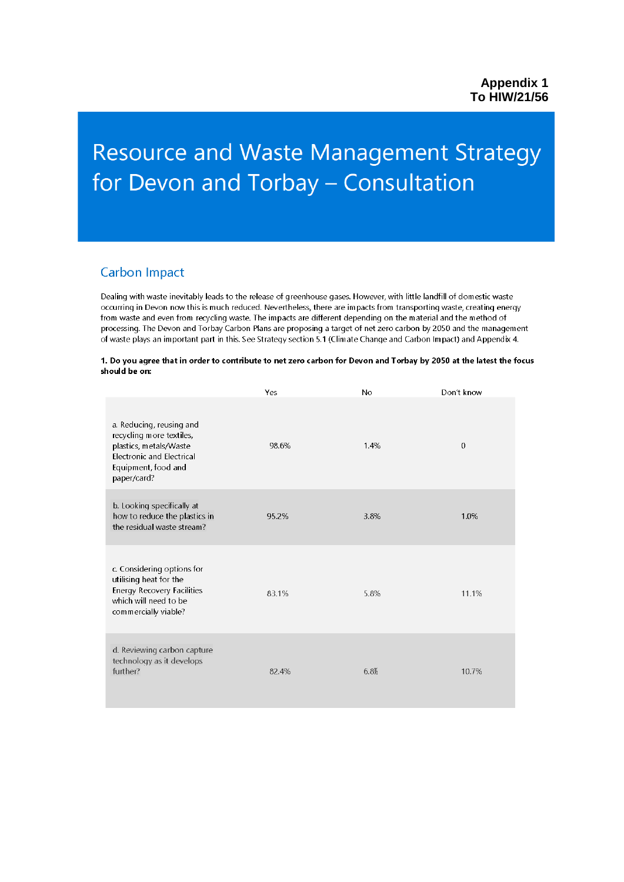# **Resource and Waste Management Strategy** for Devon and Torbay - Consultation

### **Carbon Impact**

Dealing with waste inevitably leads to the release of greenhouse gases. However, with little landfill of domestic waste occurring in Devon now this is much reduced. Nevertheless, there are impacts from transporting waste, creating energy from waste and even from recycling waste. The impacts are different depending on the material and the method of processing. The Devon and Torbay Carbon Plans are proposing a target of net zero carbon by 2050 and the management of waste plays an important part in this. See Strategy section 5.1 (Climate Change and Carbon Impact) and Appendix 4.

#### 1. Do you agree that in order to contribute to net zero carbon for Devon and Torbay by 2050 at the latest the focus should be on:

|                                                                                                                                                          | Yes   | No   | Don't know   |
|----------------------------------------------------------------------------------------------------------------------------------------------------------|-------|------|--------------|
| a. Reducing, reusing and<br>recycling more textiles,<br>plastics, metals/Waste<br><b>Electronic and Electrical</b><br>Equipment, food and<br>paper/card? | 98.6% | 1.4% | $\mathbf{0}$ |
| b. Looking specifically at<br>how to reduce the plastics in<br>the residual waste stream?                                                                | 95.2% | 3.8% | 1.0%         |
| c. Considering options for<br>utilising heat for the<br><b>Energy Recovery Facilities</b><br>which will need to be<br>commercially viable?               | 83.1% | 5.8% | 11.1%        |
| d. Reviewing carbon capture<br>technology as it develops<br>further?                                                                                     | 82.4% | 6.8% | 10.7%        |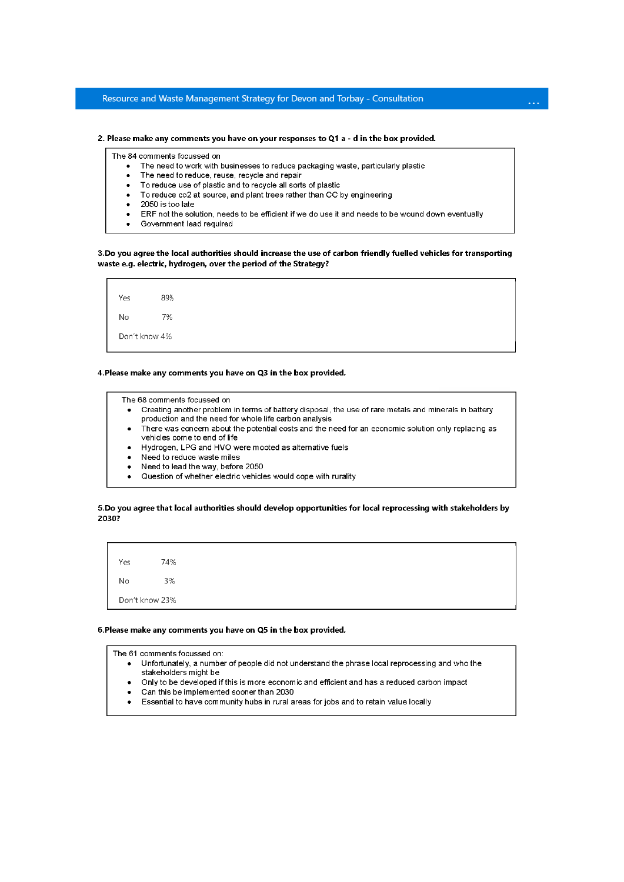### Resource and Waste Management Strategy for Devon and Torbay - Consultation

#### 2. Please make any comments you have on your responses to Q1 a - d in the box provided.

The 84 comments focussed on

- The need to work with businesses to reduce packaging waste, particularly plastic
- $\bullet$ The need to reduce, reuse, recycle and repair
- To reduce use of plastic and to recycle all sorts of plastic
- To reduce co2 at source, and plant trees rather than CC by engineering
- 2050 is too late  $\bullet$
- ERF not the solution, needs to be efficient if we do use it and needs to be wound down eventually

 $\ddotsc$ 

Government lead required

#### 3. Do you agree the local authorities should increase the use of carbon friendly fuelled vehicles for transporting waste e.g. electric, hydrogen, over the period of the Strategy?



#### 4. Please make any comments you have on Q3 in the box provided.

The 68 comments focussed on

- Creating another problem in terms of battery disposal, the use of rare metals and minerals in battery production and the need for whole life carbon analysis
- There was concern about the potential costs and the need for an economic solution only replacing as vehicles come to end of life
- Hydrogen, LPG and HVO were mooted as alternative fuels
- Need to reduce waste miles
- Need to lead the way, before 2050
- Question of whether electric vehicles would cope with rurality  $\bullet$

#### 5. Do you agree that local authorities should develop opportunities for local reprocessing with stakeholders by 2030?

74% Yes **No** 3% Don't know 23%

#### 6. Please make any comments you have on Q5 in the box provided.

The 61 comments focussed on:

- Unfortunately, a number of people did not understand the phrase local reprocessing and who the  $\bullet$ stakeholders might be
- Only to be developed if this is more economic and efficient and has a reduced carbon impact
- Can this be implemented sooner than 2030
- Essential to have community hubs in rural areas for jobs and to retain value locally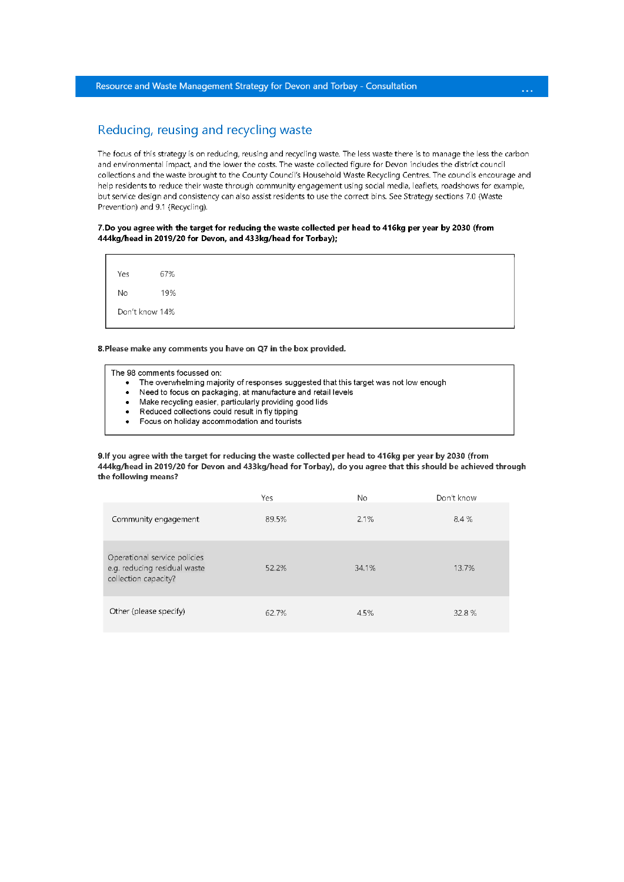### Reducing, reusing and recycling waste

The focus of this strategy is on reducing, reusing and recycling waste. The less waste there is to manage the less the carbon and environmental impact, and the lower the costs. The waste collected figure for Devon includes the district council collections and the waste brought to the County Council's Household Waste Recycling Centres. The councils encourage and help residents to reduce their waste through community engagement using social media, leaflets, roadshows for example, but service design and consistency can also assist residents to use the correct bins. See Strategy sections 7.0 (Waste Prevention) and 9.1 (Recycling).

### 7. Do you agree with the target for reducing the waste collected per head to 416kg per year by 2030 (from 444kg/head in 2019/20 for Devon, and 433kg/head for Torbay);

67% Yes 19% No Don't know 14%

8. Please make any comments you have on Q7 in the box provided.

| The 98 comments focussed on: |
|------------------------------|
|                              |

- The overwhelming majority of responses suggested that this target was not low enough
- Need to focus on packaging, at manufacture and retail levels  $\bullet$
- Make recycling easier, particularly providing good lids
- Reduced collections could result in fly tipping
- Focus on holiday accommodation and tourists  $\bullet$

9. If you agree with the target for reducing the waste collected per head to 416kg per year by 2030 (from 444kg/head in 2019/20 for Devon and 433kg/head for Torbay), do you agree that this should be achieved through the following means?

|                                                                                      | Yes   | No.   | Don't know |
|--------------------------------------------------------------------------------------|-------|-------|------------|
| Community engagement                                                                 | 89.5% | 2.1%  | 8.4 %      |
| Operational service policies<br>e.g. reducing residual waste<br>collection capacity? | 52.2% | 34.1% | 13.7%      |
| Other (please specify)                                                               | 62.7% | 4.5%  | 32.8%      |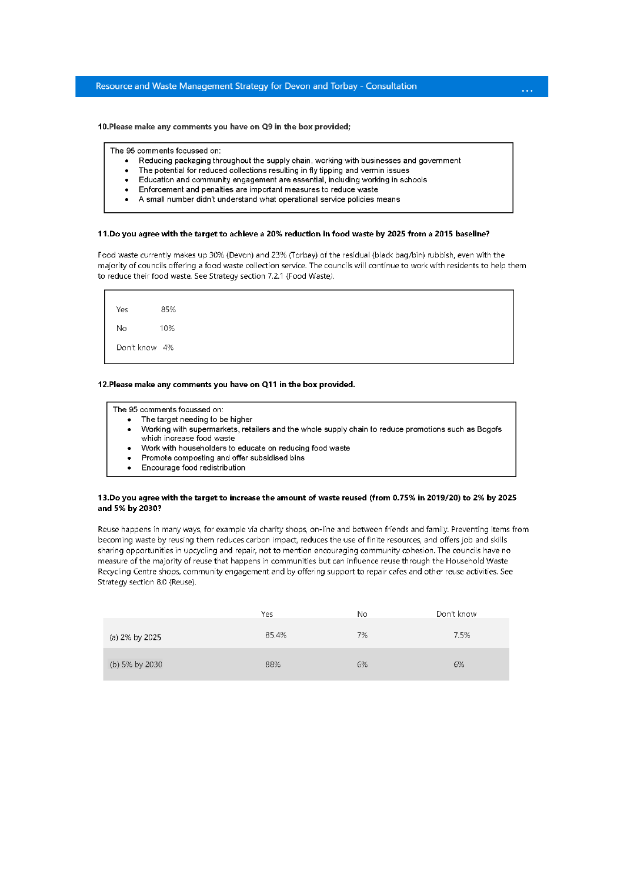10. Please make any comments you have on Q9 in the box provided;

The 95 comments focussed on:

- Reducing packaging throughout the supply chain, working with businesses and government
- The potential for reduced collections resulting in fly tipping and vermin issues
- $\bullet$ Education and community engagement are essential, including working in schools
- Enforcement and penalties are important measures to reduce waste
- A small number didn't understand what operational service policies means

#### 11.Do you agree with the target to achieve a 20% reduction in food waste by 2025 from a 2015 baseline?

Food waste currently makes up 30% (Devon) and 23% (Torbay) of the residual (black bag/bin) rubbish, even with the majority of councils offering a food waste collection service. The councils will continue to work with residents to help them to reduce their food waste. See Strategy section 7.2.1 (Food Waste).

Yes 85% No 10% Don't know 4%

#### 12. Please make any comments you have on Q11 in the box provided.

The 95 comments focussed on:

- The target needing to be higher
- Working with supermarkets, retailers and the whole supply chain to reduce promotions such as Bogofs which increase food waste
- Work with householders to educate on reducing food waste
- Promote composting and offer subsidised bins
- Encourage food redistribution

#### 13.Do you agree with the target to increase the amount of waste reused (from 0.75% in 2019/20) to 2% by 2025 and 5% by 2030?

Reuse happens in many ways, for example via charity shops, on-line and between friends and family. Preventing items from becoming waste by reusing them reduces carbon impact, reduces the use of finite resources, and offers job and skills sharing opportunities in upcycling and repair, not to mention encouraging community cohesion. The councils have no measure of the majority of reuse that happens in communities but can influence reuse through the Household Waste Recycling Centre shops, community engagement and by offering support to repair cafes and other reuse activities. See Strategy section 8.0 (Reuse).

|                | Yes   | No | Don't know |
|----------------|-------|----|------------|
| (a) 2% by 2025 | 85.4% | 7% | 7.5%       |
| (b) 5% by 2030 | 88%   | 6% | 6%         |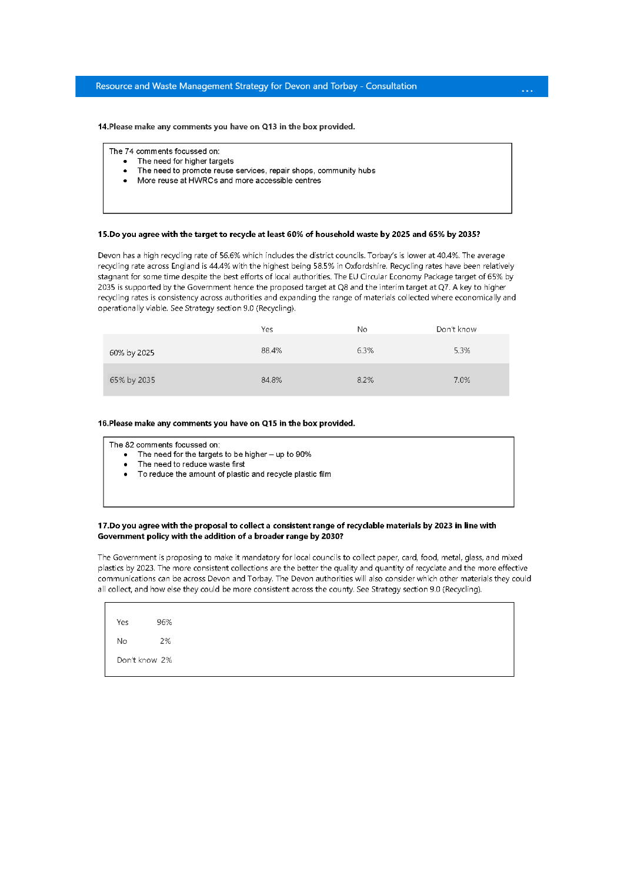### Resource and Waste Management Strategy for Devon and Torbay - Consultation

14. Please make any comments you have on Q13 in the box provided.

The 74 comments focussed on:

- The need for higher targets
- The need to promote reuse services, repair shops, community hubs  $\bullet$
- More reuse at HWRCs and more accessible centres  $\bullet$

#### 15.Do you agree with the target to recycle at least 60% of household waste by 2025 and 65% by 2035?

Devon has a high recycling rate of 56.6% which includes the district councils. Torbay's is lower at 40.4%. The average recycling rate across England is 44.4% with the highest being 58.5% in Oxfordshire. Recycling rates have been relatively stagnant for some time despite the best efforts of local authorities. The EU Circular Economy Package target of 65% by 2035 is supported by the Government hence the proposed target at Q8 and the interim target at Q7. A key to higher recycling rates is consistency across authorities and expanding the range of materials collected where economically and operationally viable. See Strategy section 9.0 (Recycling).

|             | Yes   | No.  | Don't know |
|-------------|-------|------|------------|
| 60% by 2025 | 88.4% | 6.3% | 5.3%       |
| 65% by 2035 | 84.8% | 8.2% | 7.0%       |

#### 16. Please make any comments you have on Q15 in the box provided.

The 82 comments focussed on:

- The need for the targets to be higher up to 90%  $\bullet$
- The need to reduce waste first
- To reduce the amount of plastic and recycle plastic film

#### 17.Do you agree with the proposal to collect a consistent range of recyclable materials by 2023 in line with Government policy with the addition of a broader range by 2030?

The Government is proposing to make it mandatory for local councils to collect paper, card, food, metal, glass, and mixed plastics by 2023. The more consistent collections are the better the quality and quantity of recyclate and the more effective communications can be across Devon and Torbay. The Devon authorities will also consider which other materials they could all collect, and how else they could be more consistent across the county. See Strategy section 9.0 (Recycling).